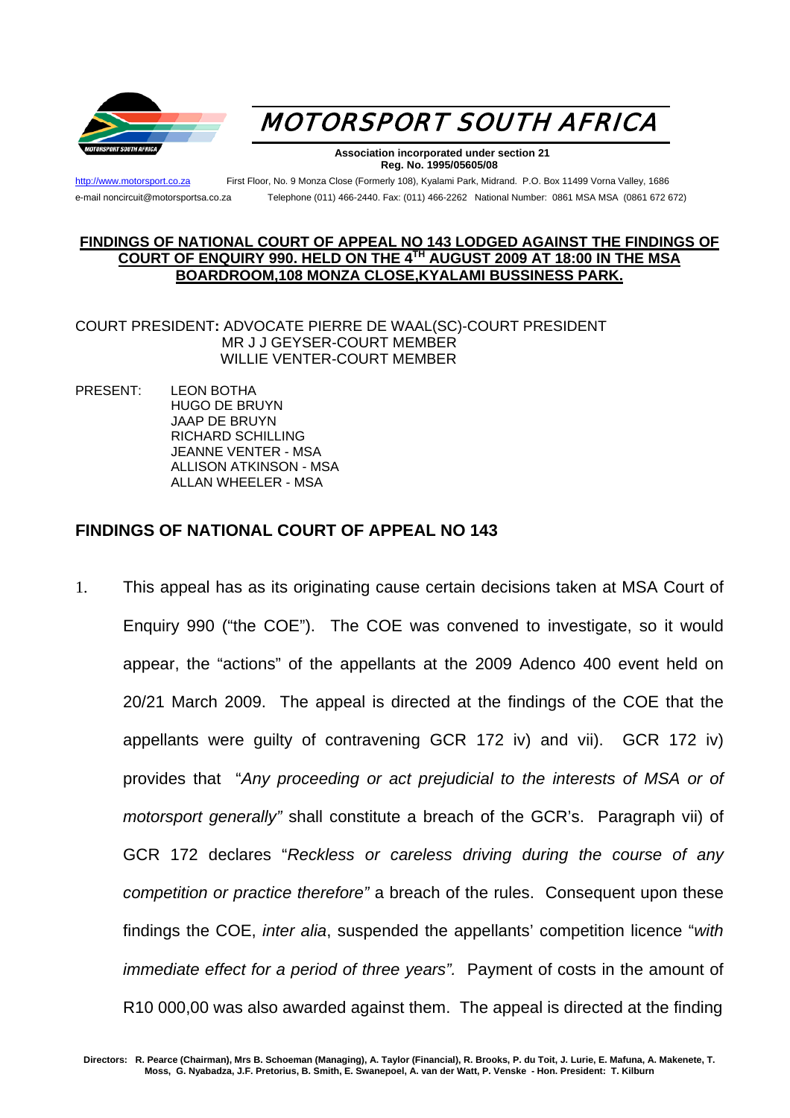



 **Association incorporated under section 21 Reg. No. 1995/05605/08** 

[http://www.motorsport.co.za](http://www.motorsport.co.za/) First Floor, No. 9 Monza Close (Formerly 108), Kyalami Park, Midrand. P.O. Box 11499 Vorna Valley, 1686 e-mail noncircuit@motorsportsa.co.za Telephone (011) 466-2440. Fax: (011) 466-2262 National Number: 0861 MSA MSA (0861 672 672)

## **FINDINGS OF NATIONAL COURT OF APPEAL NO 143 LODGED AGAINST THE FINDINGS OF COURT OF ENQUIRY 990. HELD ON THE 4TH AUGUST 2009 AT 18:00 IN THE MSA BOARDROOM,108 MONZA CLOSE,KYALAMI BUSSINESS PARK.**

COURT PRESIDENT**:** ADVOCATE PIERRE DE WAAL(SC)-COURT PRESIDENT MR J J GEYSER-COURT MEMBER WILLIE VENTER-COURT MEMBER

PRESENT: LEON BOTHA HUGO DE BRUYN JAAP DE BRUYN RICHARD SCHILLING JEANNE VENTER - MSA ALLISON ATKINSON - MSA ALLAN WHEELER - MSA

## **FINDINGS OF NATIONAL COURT OF APPEAL NO 143**

1. This appeal has as its originating cause certain decisions taken at MSA Court of Enquiry 990 ("the COE"). The COE was convened to investigate, so it would appear, the "actions" of the appellants at the 2009 Adenco 400 event held on 20/21 March 2009. The appeal is directed at the findings of the COE that the appellants were guilty of contravening GCR 172 iv) and vii). GCR 172 iv) provides that "*Any proceeding or act prejudicial to the interests of MSA or of motorsport generally"* shall constitute a breach of the GCR's. Paragraph vii) of GCR 172 declares "*Reckless or careless driving during the course of any competition or practice therefore"* a breach of the rules. Consequent upon these findings the COE, *inter alia*, suspended the appellants' competition licence "*with immediate effect for a period of three years".* Payment of costs in the amount of R10 000,00 was also awarded against them. The appeal is directed at the finding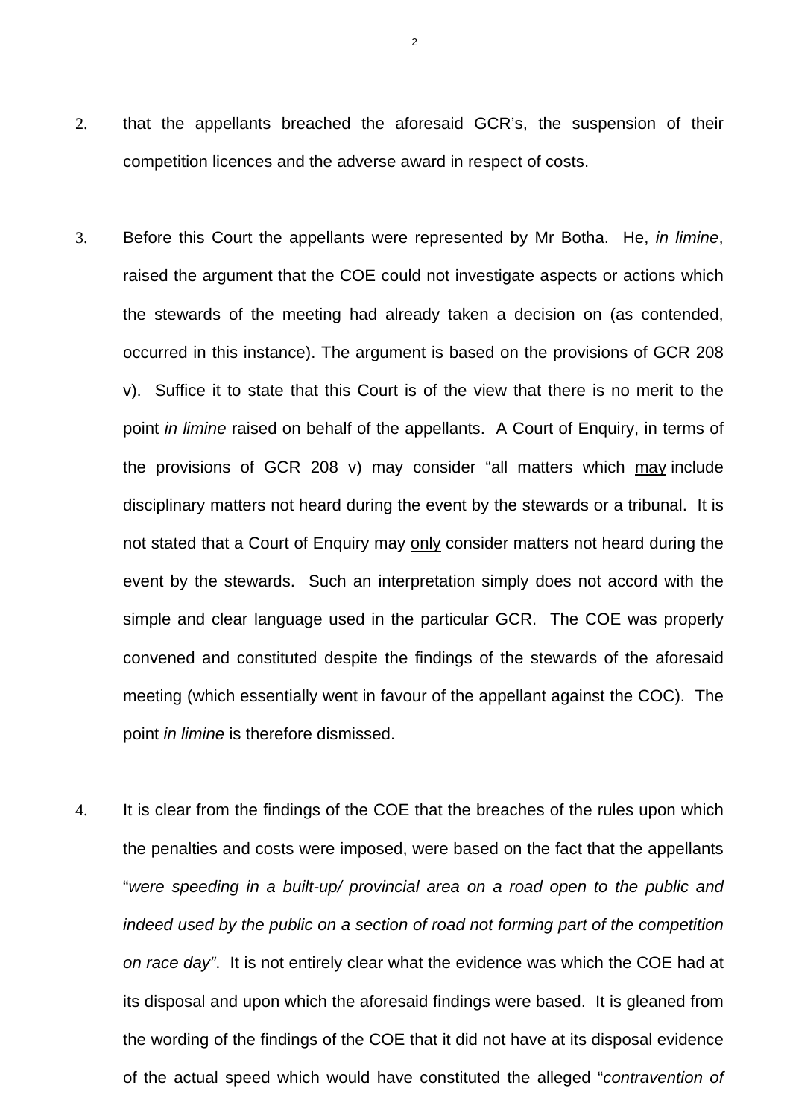- 2. that the appellants breached the aforesaid GCR's, the suspension of their competition licences and the adverse award in respect of costs.
- 3. Before this Court the appellants were represented by Mr Botha. He, *in limine*, raised the argument that the COE could not investigate aspects or actions which the stewards of the meeting had already taken a decision on (as contended, occurred in this instance). The argument is based on the provisions of GCR 208 v). Suffice it to state that this Court is of the view that there is no merit to the point *in limine* raised on behalf of the appellants. A Court of Enquiry, in terms of the provisions of GCR 208 v) may consider "all matters which may include disciplinary matters not heard during the event by the stewards or a tribunal. It is not stated that a Court of Enquiry may only consider matters not heard during the event by the stewards. Such an interpretation simply does not accord with the simple and clear language used in the particular GCR. The COE was properly convened and constituted despite the findings of the stewards of the aforesaid meeting (which essentially went in favour of the appellant against the COC). The point *in limine* is therefore dismissed.
- 4. It is clear from the findings of the COE that the breaches of the rules upon which the penalties and costs were imposed, were based on the fact that the appellants "*were speeding in a built-up/ provincial area on a road open to the public and indeed used by the public on a section of road not forming part of the competition on race day"*. It is not entirely clear what the evidence was which the COE had at its disposal and upon which the aforesaid findings were based. It is gleaned from the wording of the findings of the COE that it did not have at its disposal evidence of the actual speed which would have constituted the alleged "*contravention of*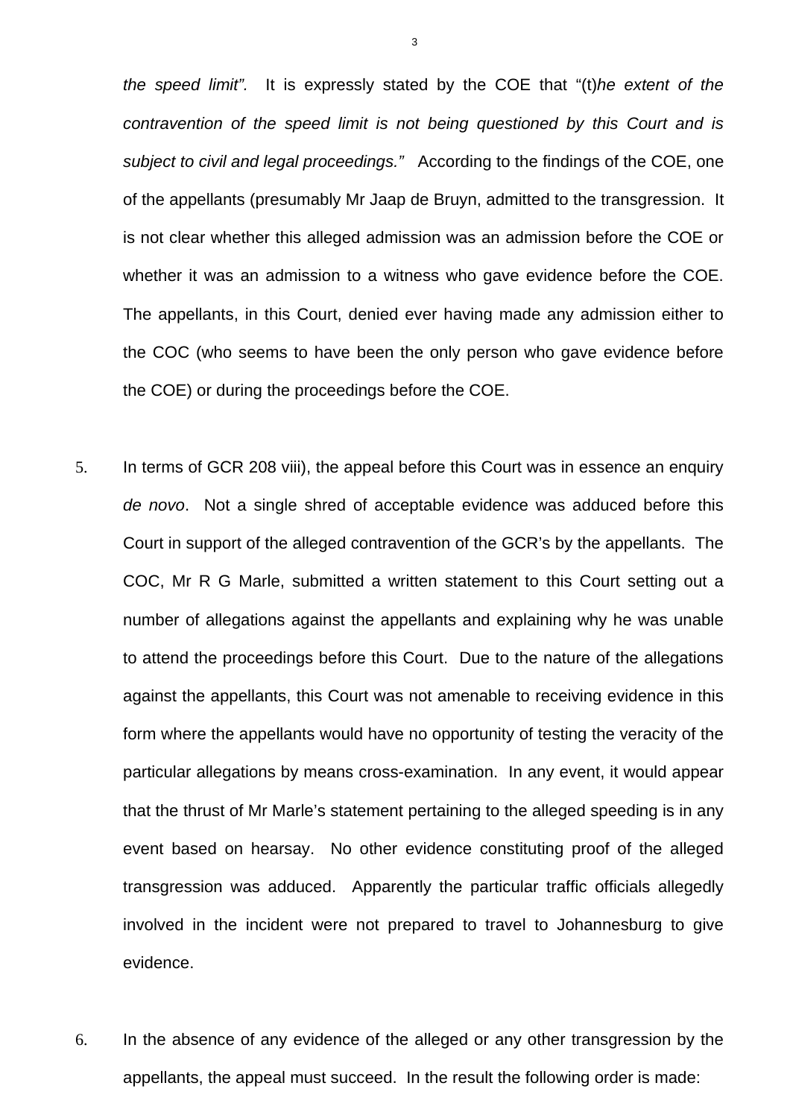*the speed limit".* It is expressly stated by the COE that "(t)*he extent of the contravention of the speed limit is not being questioned by this Court and is subject to civil and legal proceedings."* According to the findings of the COE, one of the appellants (presumably Mr Jaap de Bruyn, admitted to the transgression. It is not clear whether this alleged admission was an admission before the COE or whether it was an admission to a witness who gave evidence before the COE. The appellants, in this Court, denied ever having made any admission either to the COC (who seems to have been the only person who gave evidence before the COE) or during the proceedings before the COE.

- 5. In terms of GCR 208 viii), the appeal before this Court was in essence an enquiry *de novo*. Not a single shred of acceptable evidence was adduced before this Court in support of the alleged contravention of the GCR's by the appellants. The COC, Mr R G Marle, submitted a written statement to this Court setting out a number of allegations against the appellants and explaining why he was unable to attend the proceedings before this Court. Due to the nature of the allegations against the appellants, this Court was not amenable to receiving evidence in this form where the appellants would have no opportunity of testing the veracity of the particular allegations by means cross-examination. In any event, it would appear that the thrust of Mr Marle's statement pertaining to the alleged speeding is in any event based on hearsay. No other evidence constituting proof of the alleged transgression was adduced. Apparently the particular traffic officials allegedly involved in the incident were not prepared to travel to Johannesburg to give evidence.
- 6. In the absence of any evidence of the alleged or any other transgression by the appellants, the appeal must succeed. In the result the following order is made:

3